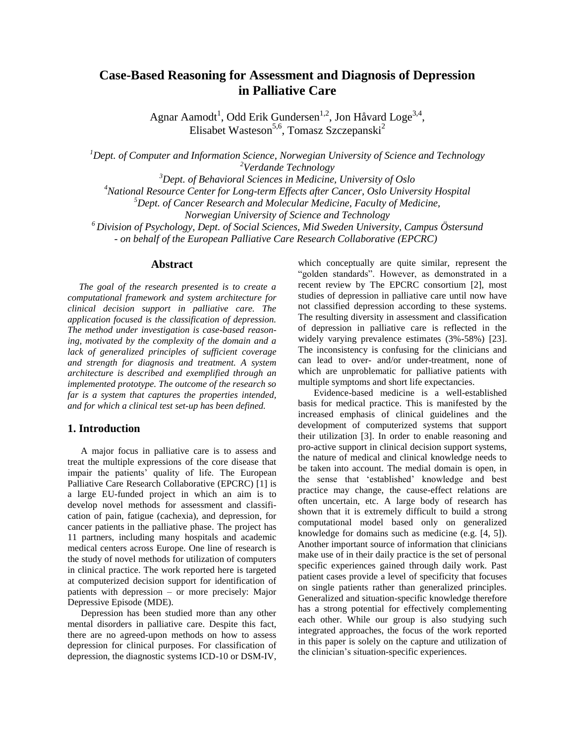# **Case-Based Reasoning for Assessment and Diagnosis of Depression in Palliative Care**

Agnar Aamodt<sup>1</sup>, Odd Erik Gundersen<sup>1,2</sup>, Jon Håvard Loge<sup>3,4</sup>, Elisabet Wasteson<sup>5,6</sup>, Tomasz Szczepanski<sup>2</sup>

*<sup>1</sup>Dept. of Computer and Information Science, Norwegian University of Science and Technology <sup>2</sup>Verdande Technology*

*<sup>3</sup>Dept. of Behavioral Sciences in Medicine, University of Oslo*

*<sup>4</sup>National Resource Center for Long-term Effects after Cancer, Oslo University Hospital*

*<sup>5</sup>Dept. of Cancer Research and Molecular Medicine, Faculty of Medicine,* 

*Norwegian University of Science and Technology*

*<sup>6</sup>Division of Psychology, Dept. of Social Sciences, Mid Sweden University, Campus Östersund*

 *- on behalf of the European Palliative Care Research Collaborative (EPCRC)*

### **Abstract**

*The goal of the research presented is to create a computational framework and system architecture for clinical decision support in palliative care. The application focused is the classification of depression. The method under investigation is case-based reasoning, motivated by the complexity of the domain and a lack of generalized principles of sufficient coverage and strength for diagnosis and treatment. A system architecture is described and exemplified through an implemented prototype. The outcome of the research so far is a system that captures the properties intended, and for which a clinical test set-up has been defined.*

### **1. Introduction**

A major focus in palliative care is to assess and treat the multiple expressions of the core disease that impair the patients' quality of life. The European Palliative Care Research Collaborative (EPCRC) [1] is a large EU-funded project in which an aim is to develop novel methods for assessment and classification of pain, fatigue (cachexia), and depression, for cancer patients in the palliative phase. The project has 11 partners, including many hospitals and academic medical centers across Europe. One line of research is the study of novel methods for utilization of computers in clinical practice. The work reported here is targeted at computerized decision support for identification of patients with depression – or more precisely: Major Depressive Episode (MDE).

Depression has been studied more than any other mental disorders in palliative care. Despite this fact, there are no agreed-upon methods on how to assess depression for clinical purposes. For classification of depression, the diagnostic systems ICD-10 or DSM-IV,

which conceptually are quite similar, represent the "golden standards". However, as demonstrated in a recent review by The EPCRC consortium [2], most studies of depression in palliative care until now have not classified depression according to these systems. The resulting diversity in assessment and classification of depression in palliative care is reflected in the widely varying prevalence estimates (3%-58%) [23]. The inconsistency is confusing for the clinicians and can lead to over- and/or under-treatment, none of which are unproblematic for palliative patients with multiple symptoms and short life expectancies.

Evidence-based medicine is a well-established basis for medical practice. This is manifested by the increased emphasis of clinical guidelines and the development of computerized systems that support their utilization [3]. In order to enable reasoning and pro-active support in clinical decision support systems, the nature of medical and clinical knowledge needs to be taken into account. The medial domain is open, in the sense that "established" knowledge and best practice may change, the cause-effect relations are often uncertain, etc. A large body of research has shown that it is extremely difficult to build a strong computational model based only on generalized knowledge for domains such as medicine (e.g. [4, 5]). Another important source of information that clinicians make use of in their daily practice is the set of personal specific experiences gained through daily work. Past patient cases provide a level of specificity that focuses on single patients rather than generalized principles. Generalized and situation-specific knowledge therefore has a strong potential for effectively complementing each other. While our group is also studying such integrated approaches, the focus of the work reported in this paper is solely on the capture and utilization of the clinician"s situation-specific experiences.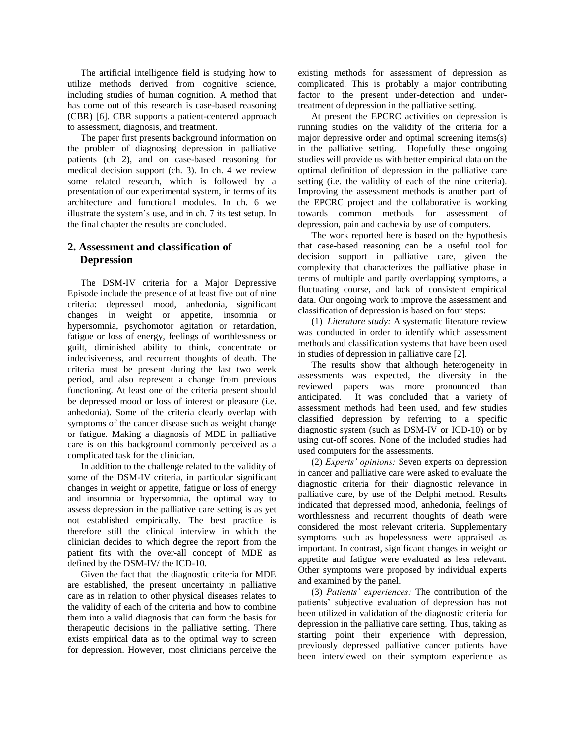The artificial intelligence field is studying how to utilize methods derived from cognitive science, including studies of human cognition. A method that has come out of this research is case-based reasoning (CBR) [6]. CBR supports a patient-centered approach to assessment, diagnosis, and treatment.

The paper first presents background information on the problem of diagnosing depression in palliative patients (ch 2), and on case-based reasoning for medical decision support (ch. 3). In ch. 4 we review some related research, which is followed by a presentation of our experimental system, in terms of its architecture and functional modules. In ch. 6 we illustrate the system"s use, and in ch. 7 its test setup. In the final chapter the results are concluded.

## **2. Assessment and classification of Depression**

The DSM-IV criteria for a Major Depressive Episode include the presence of at least five out of nine criteria: depressed mood, anhedonia, significant changes in weight or appetite, insomnia or hypersomnia, psychomotor agitation or retardation, fatigue or loss of energy, feelings of worthlessness or guilt, diminished ability to think, concentrate or indecisiveness, and recurrent thoughts of death. The criteria must be present during the last two week period, and also represent a change from previous functioning. At least one of the criteria present should be depressed mood or loss of interest or pleasure (i.e. anhedonia). Some of the criteria clearly overlap with symptoms of the cancer disease such as weight change or fatigue. Making a diagnosis of MDE in palliative care is on this background commonly perceived as a complicated task for the clinician.

In addition to the challenge related to the validity of some of the DSM-IV criteria, in particular significant changes in weight or appetite, fatigue or loss of energy and insomnia or hypersomnia, the optimal way to assess depression in the palliative care setting is as yet not established empirically. The best practice is therefore still the clinical interview in which the clinician decides to which degree the report from the patient fits with the over-all concept of MDE as defined by the DSM-IV/ the ICD-10.

Given the fact that the diagnostic criteria for MDE are established, the present uncertainty in palliative care as in relation to other physical diseases relates to the validity of each of the criteria and how to combine them into a valid diagnosis that can form the basis for therapeutic decisions in the palliative setting. There exists empirical data as to the optimal way to screen for depression. However, most clinicians perceive the

existing methods for assessment of depression as complicated. This is probably a major contributing factor to the present under-detection and undertreatment of depression in the palliative setting.

At present the EPCRC activities on depression is running studies on the validity of the criteria for a major depressive order and optimal screening items(s) in the palliative setting. Hopefully these ongoing studies will provide us with better empirical data on the optimal definition of depression in the palliative care setting (i.e. the validity of each of the nine criteria). Improving the assessment methods is another part of the EPCRC project and the collaborative is working towards common methods for assessment of depression, pain and cachexia by use of computers.

The work reported here is based on the hypothesis that case-based reasoning can be a useful tool for decision support in palliative care, given the complexity that characterizes the palliative phase in terms of multiple and partly overlapping symptoms, a fluctuating course, and lack of consistent empirical data. Our ongoing work to improve the assessment and classification of depression is based on four steps:

(1) *Literature study:* A systematic literature review was conducted in order to identify which assessment methods and classification systems that have been used in studies of depression in palliative care [2].

The results show that although heterogeneity in assessments was expected, the diversity in the reviewed papers was more pronounced than anticipated. It was concluded that a variety of assessment methods had been used, and few studies classified depression by referring to a specific diagnostic system (such as DSM-IV or ICD-10) or by using cut-off scores. None of the included studies had used computers for the assessments.

(2) *Experts' opinions:* Seven experts on depression in cancer and palliative care were asked to evaluate the diagnostic criteria for their diagnostic relevance in palliative care, by use of the Delphi method. Results indicated that depressed mood, anhedonia, feelings of worthlessness and recurrent thoughts of death were considered the most relevant criteria. Supplementary symptoms such as hopelessness were appraised as important. In contrast, significant changes in weight or appetite and fatigue were evaluated as less relevant. Other symptoms were proposed by individual experts and examined by the panel.

(3) *Patients' experiences:* The contribution of the patients" subjective evaluation of depression has not been utilized in validation of the diagnostic criteria for depression in the palliative care setting. Thus, taking as starting point their experience with depression, previously depressed palliative cancer patients have been interviewed on their symptom experience as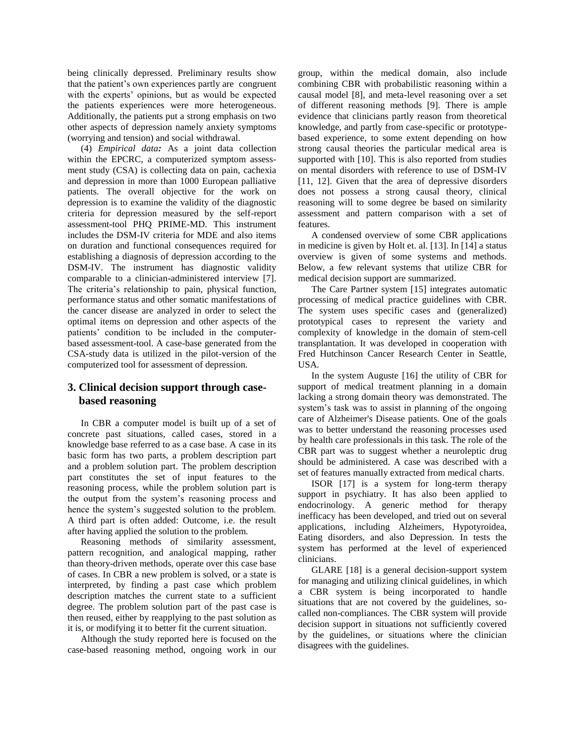being clinically depressed. Preliminary results show that the patient"s own experiences partly are congruent with the experts' opinions, but as would be expected the patients experiences were more heterogeneous. Additionally, the patients put a strong emphasis on two other aspects of depression namely anxiety symptoms (worrying and tension) and social withdrawal.

(4) *Empirical data:* As a joint data collection within the EPCRC, a computerized symptom assessment study (CSA) is collecting data on pain, cachexia and depression in more than 1000 European palliative patients. The overall objective for the work on depression is to examine the validity of the diagnostic criteria for depression measured by the self-report assessment-tool PHQ PRIME-MD. This instrument includes the DSM-IV criteria for MDE and also items on duration and functional consequences required for establishing a diagnosis of depression according to the DSM-IV. The instrument has diagnostic validity comparable to a clinician-administered interview [7]. The criteria"s relationship to pain, physical function, performance status and other somatic manifestations of the cancer disease are analyzed in order to select the optimal items on depression and other aspects of the patients" condition to be included in the computerbased assessment-tool. A case-base generated from the CSA-study data is utilized in the pilot-version of the computerized tool for assessment of depression.

# **3. Clinical decision support through case based reasoning**

In CBR a computer model is built up of a set of concrete past situations, called cases, stored in a knowledge base referred to as a case base. A case in its basic form has two parts, a problem description part and a problem solution part. The problem description part constitutes the set of input features to the reasoning process, while the problem solution part is the output from the system"s reasoning process and hence the system's suggested solution to the problem. A third part is often added: Outcome, i.e. the result after having applied the solution to the problem.

Reasoning methods of similarity assessment, pattern recognition, and analogical mapping, rather than theory-driven methods, operate over this case base of cases. In CBR a new problem is solved, or a state is interpreted, by finding a past case which problem description matches the current state to a sufficient degree. The problem solution part of the past case is then reused, either by reapplying to the past solution as it is, or modifying it to better fit the current situation.

Although the study reported here is focused on the case-based reasoning method, ongoing work in our

group, within the medical domain, also include combining CBR with probabilistic reasoning within a causal model [8], and meta-level reasoning over a set of different reasoning methods [9]. There is ample evidence that clinicians partly reason from theoretical knowledge, and partly from case-specific or prototypebased experience, to some extent depending on how strong causal theories the particular medical area is supported with [10]. This is also reported from studies on mental disorders with reference to use of DSM-IV [11, 12]. Given that the area of depressive disorders does not possess a strong causal theory, clinical reasoning will to some degree be based on similarity assessment and pattern comparison with a set of features.

A condensed overview of some CBR applications in medicine is given by Holt et. al. [13]. In [14] a status overview is given of some systems and methods. Below, a few relevant systems that utilize CBR for medical decision support are summarized.

The Care Partner system [15] integrates automatic processing of medical practice guidelines with CBR. The system uses specific cases and (generalized) prototypical cases to represent the variety and complexity of knowledge in the domain of stem-cell transplantation. It was developed in cooperation with Fred Hutchinson Cancer Research Center in Seattle, USA.

In the system Auguste [16] the utility of CBR for support of medical treatment planning in a domain lacking a strong domain theory was demonstrated. The system's task was to assist in planning of the ongoing care of Alzheimer's Disease patients. One of the goals was to better understand the reasoning processes used by health care professionals in this task. The role of the CBR part was to suggest whether a neuroleptic drug should be administered. A case was described with a set of features manually extracted from medical charts.

ISOR [17] is a system for long-term therapy support in psychiatry. It has also been applied to endocrinology. A generic method for therapy inefficacy has been developed, and tried out on several applications, including Alzheimers, Hypotyroidea, Eating disorders, and also Depression. In tests the system has performed at the level of experienced clinicians.

GLARE [18] is a general decision-support system for managing and utilizing clinical guidelines, in which a CBR system is being incorporated to handle situations that are not covered by the guidelines, socalled non-compliances. The CBR system will provide decision support in situations not sufficiently covered by the guidelines, or situations where the clinician disagrees with the guidelines.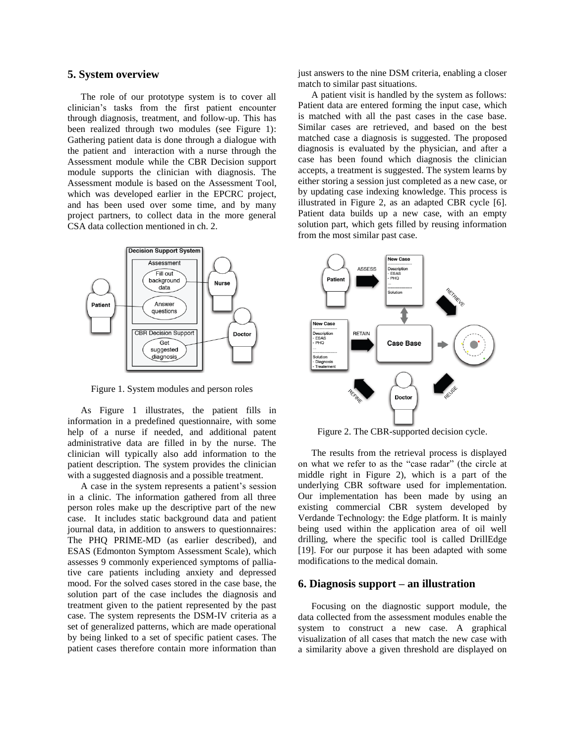### **5. System overview**

The role of our prototype system is to cover all clinician"s tasks from the first patient encounter through diagnosis, treatment, and follow-up. This has been realized through two modules (see Figure 1): Gathering patient data is done through a dialogue with the patient and interaction with a nurse through the Assessment module while the CBR Decision support module supports the clinician with diagnosis. The Assessment module is based on the Assessment Tool, which was developed earlier in the EPCRC project, and has been used over some time, and by many project partners, to collect data in the more general CSA data collection mentioned in ch. 2.



Figure 1. System modules and person roles

As Figure 1 illustrates, the patient fills in information in a predefined questionnaire, with some help of a nurse if needed, and additional patent administrative data are filled in by the nurse. The clinician will typically also add information to the patient description. The system provides the clinician with a suggested diagnosis and a possible treatment.

A case in the system represents a patient"s session in a clinic. The information gathered from all three person roles make up the descriptive part of the new case. It includes static background data and patient journal data, in addition to answers to questionnaires: The PHQ PRIME-MD (as earlier described), and ESAS (Edmonton Symptom Assessment Scale), which assesses 9 commonly experienced symptoms of palliative care patients including anxiety and depressed mood. For the solved cases stored in the case base, the solution part of the case includes the diagnosis and treatment given to the patient represented by the past case. The system represents the DSM-IV criteria as a set of generalized patterns, which are made operational by being linked to a set of specific patient cases. The patient cases therefore contain more information than

just answers to the nine DSM criteria, enabling a closer match to similar past situations.

A patient visit is handled by the system as follows: Patient data are entered forming the input case, which is matched with all the past cases in the case base. Similar cases are retrieved, and based on the best matched case a diagnosis is suggested. The proposed diagnosis is evaluated by the physician, and after a case has been found which diagnosis the clinician accepts, a treatment is suggested. The system learns by either storing a session just completed as a new case, or by updating case indexing knowledge. This process is illustrated in Figure 2, as an adapted CBR cycle [6]. Patient data builds up a new case, with an empty solution part, which gets filled by reusing information from the most similar past case.



Figure 2. The CBR-supported decision cycle.

The results from the retrieval process is displayed on what we refer to as the "case radar" (the circle at middle right in Figure 2), which is a part of the underlying CBR software used for implementation. Our implementation has been made by using an existing commercial CBR system developed by Verdande Technology: the Edge platform. It is mainly being used within the application area of oil well drilling, where the specific tool is called DrillEdge [19]. For our purpose it has been adapted with some modifications to the medical domain.

### **6. Diagnosis support – an illustration**

Focusing on the diagnostic support module, the data collected from the assessment modules enable the system to construct a new case. A graphical visualization of all cases that match the new case with a similarity above a given threshold are displayed on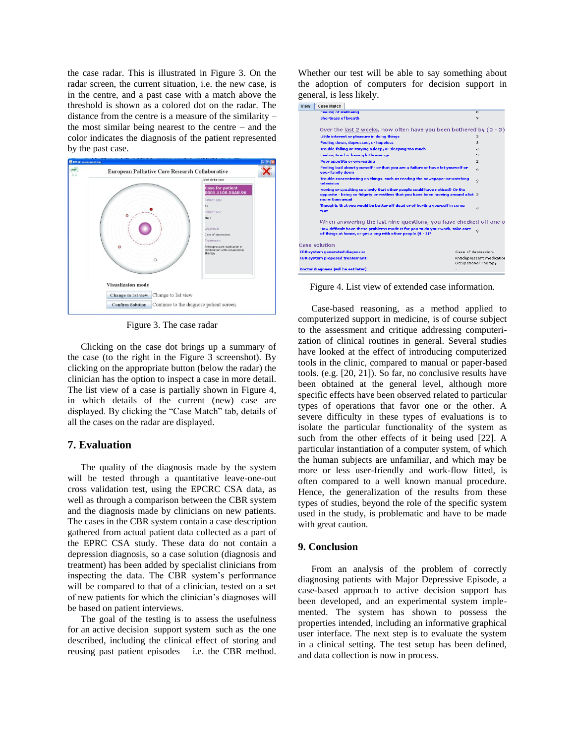the case radar. This is illustrated in Figure 3. On the radar screen, the current situation, i.e. the new case, is in the centre, and a past case with a match above the threshold is shown as a colored dot on the radar. The distance from the centre is a measure of the similarity – the most similar being nearest to the centre – and the color indicates the diagnosis of the patient represented by the past case.



Figure 3. The case radar

Clicking on the case dot brings up a summary of the case (to the right in the Figure 3 screenshot). By clicking on the appropriate button (below the radar) the clinician has the option to inspect a case in more detail. The list view of a case is partially shown in Figure 4, in which details of the current (new) case are displayed. By clicking the "Case Match" tab, details of all the cases on the radar are displayed.

### **7. Evaluation**

The quality of the diagnosis made by the system will be tested through a quantitative leave-one-out cross validation test, using the EPCRC CSA data, as well as through a comparison between the CBR system and the diagnosis made by clinicians on new patients. The cases in the CBR system contain a case description gathered from actual patient data collected as a part of the EPRC CSA study. These data do not contain a depression diagnosis, so a case solution (diagnosis and treatment) has been added by specialist clinicians from inspecting the data. The CBR system's performance will be compared to that of a clinician, tested on a set of new patients for which the clinician"s diagnoses will be based on patient interviews.

The goal of the testing is to assess the usefulness for an active decision support system such as the one described, including the clinical effect of storing and reusing past patient episodes – i.e. the CBR method.

Whether our test will be able to say something about the adoption of computers for decision support in general, is less likely.



Figure 4. List view of extended case information.

Case-based reasoning, as a method applied to computerized support in medicine, is of course subject to the assessment and critique addressing computerization of clinical routines in general. Several studies have looked at the effect of introducing computerized tools in the clinic, compared to manual or paper-based tools. (e.g. [20, 21]). So far, no conclusive results have been obtained at the general level, although more specific effects have been observed related to particular types of operations that favor one or the other. A severe difficulty in these types of evaluations is to isolate the particular functionality of the system as such from the other effects of it being used [22]. A particular instantiation of a computer system, of which the human subjects are unfamiliar, and which may be more or less user-friendly and work-flow fitted, is often compared to a well known manual procedure. Hence, the generalization of the results from these types of studies, beyond the role of the specific system used in the study, is problematic and have to be made with great caution.

#### **9. Conclusion**

From an analysis of the problem of correctly diagnosing patients with Major Depressive Episode, a case-based approach to active decision support has been developed, and an experimental system implemented. The system has shown to possess the properties intended, including an informative graphical user interface. The next step is to evaluate the system in a clinical setting. The test setup has been defined, and data collection is now in process.